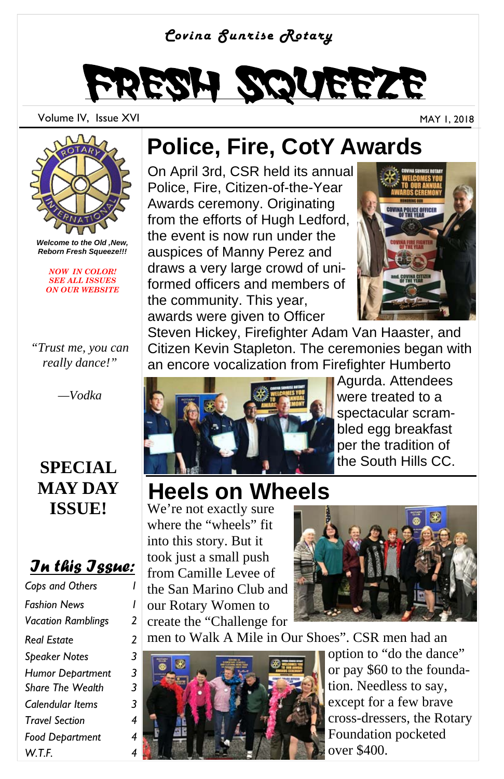#### *Covina Sunrise Rotary*



Volume IV, Issue XVI and the second second second second second second second second second second second second second second second second second second second second second second second second second second second seco



*Welcome to the Old ,New, Reborn Fresh Squeeze!!!* 

*NOW IN COLOR! SEE ALL ISSUES ON OUR WEBSITE*

*"Trust me, you can really dance!"* 

*—Vodka* 

#### **SPECIAL MAY DAY ISSUE!**

#### *In this Issue:*

| Cops and Others           |   |
|---------------------------|---|
| <b>Fashion News</b>       |   |
| <b>Vacation Ramblings</b> | 2 |
| Real Estate               | 2 |
| <b>Speaker Notes</b>      | 3 |
| <b>Humor Debartment</b>   | 3 |
| <b>Share The Wealth</b>   | 3 |
| Calendular Items          | 3 |
| <b>Travel Section</b>     | 4 |
| <b>Food Department</b>    | 4 |
| W.T.F.                    | 4 |

### **Police, Fire, CotY Awards**

On April 3rd, CSR held its annual Police, Fire, Citizen-of-the-Year Awards ceremony. Originating from the efforts of Hugh Ledford, the event is now run under the auspices of Manny Perez and draws a very large crowd of uniformed officers and members of the community. This year, awards were given to Officer



Steven Hickey, Firefighter Adam Van Haaster, and Citizen Kevin Stapleton. The ceremonies began with an encore vocalization from Firefighter Humberto



Agurda. Attendees were treated to a spectacular scrambled egg breakfast per the tradition of the South Hills CC.

### **Heels on Wheels**

We're not exactly sure where the "wheels" fit into this story. But it took just a small push from Camille Levee of the San Marino Club and our Rotary Women to create the "Challenge for



men to Walk A Mile in Our Shoes". CSR men had an



option to "do the dance" or pay \$60 to the foundation. Needless to say, except for a few brave cross-dressers, the Rotary Foundation pocketed over \$400.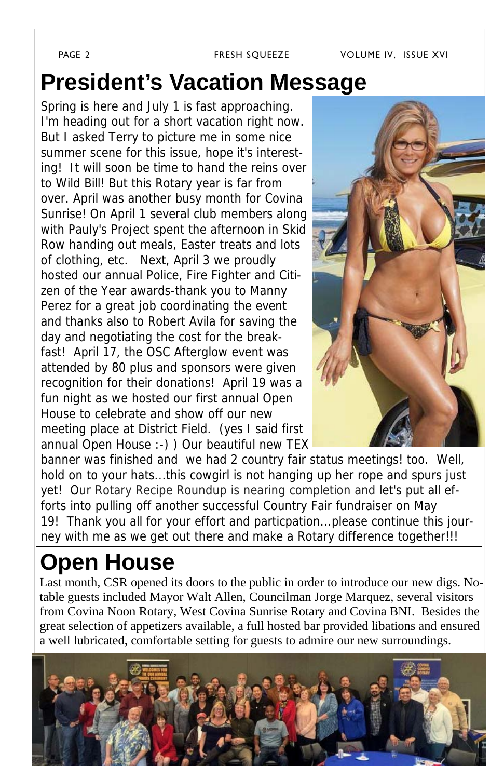### **President's Vacation Message**

Spring is here and July 1 is fast approaching. I'm heading out for a short vacation right now. But I asked Terry to picture me in some nice summer scene for this issue, hope it's interesting! It will soon be time to hand the reins over to Wild Bill! But this Rotary year is far from over. April was another busy month for Covina Sunrise! On April 1 several club members along with Pauly's Project spent the afternoon in Skid Row handing out meals, Easter treats and lots of clothing, etc. Next, April 3 we proudly hosted our annual Police, Fire Fighter and Citizen of the Year awards-thank you to Manny Perez for a great job coordinating the event and thanks also to Robert Avila for saving the day and negotiating the cost for the breakfast! April 17, the OSC Afterglow event was attended by 80 plus and sponsors were given recognition for their donations! April 19 was a fun night as we hosted our first annual Open House to celebrate and show off our new meeting place at District Field. (yes I said first annual Open House :-) ) Our beautiful new TEX



banner was finished and we had 2 country fair status meetings! too. Well, hold on to your hats...this cowgirl is not hanging up her rope and spurs just yet! Our Rotary Recipe Roundup is nearing completion and let's put all efforts into pulling off another successful Country Fair fundraiser on May 19! Thank you all for your effort and particpation...please continue this journey with me as we get out there and make a Rotary difference together!!!

### **Open House**

Last month, CSR opened its doors to the public in order to introduce our new digs. Notable guests included Mayor Walt Allen, Councilman Jorge Marquez, several visitors from Covina Noon Rotary, West Covina Sunrise Rotary and Covina BNI. Besides the great selection of appetizers available, a full hosted bar provided libations and ensured a well lubricated, comfortable setting for guests to admire our new surroundings.

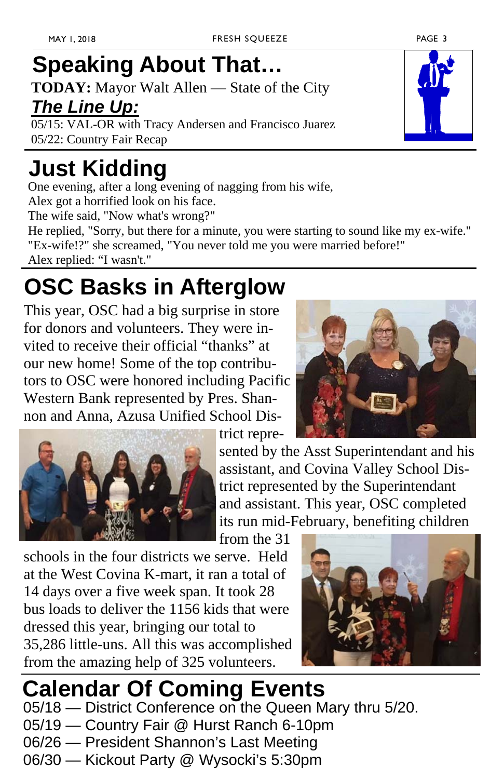## **Speaking About That…**

**TODAY:** Mayor Walt Allen — State of the City *The Line Up:*

05/15: VAL-OR with Tracy Andersen and Francisco Juarez 05/22: Country Fair Recap

## **Just Kidding**

One evening, after a long evening of nagging from his wife, Alex got a horrified look on his face.

The wife said, "Now what's wrong?"

He replied, "Sorry, but there for a minute, you were starting to sound like my ex-wife." "Ex-wife!?" she screamed, "You never told me you were married before!"

Alex replied: "I wasn't."

# **OSC Basks in Afterglow**

This year, OSC had a big surprise in store for donors and volunteers. They were invited to receive their official "thanks" at our new home! Some of the top contributors to OSC were honored including Pacific Western Bank represented by Pres. Shannon and Anna, Azusa Unified School Dis-



trict repre-

sented by the Asst Superintendant and his assistant, and Covina Valley School District represented by the Superintendant and assistant. This year, OSC completed its run mid-February, benefiting children

from the 31

schools in the four districts we serve. Held at the West Covina K-mart, it ran a total of 14 days over a five week span. It took 28 bus loads to deliver the 1156 kids that were dressed this year, bringing our total to 35,286 little-uns. All this was accomplished from the amazing help of 325 volunteers.

## **Calendar Of Coming Events**

- 05/18 District Conference on the Queen Mary thru 5/20.
- 05/19 Country Fair @ Hurst Ranch 6-10pm
- 06/26 President Shannon's Last Meeting
- 06/30 Kickout Party @ Wysocki's 5:30pm